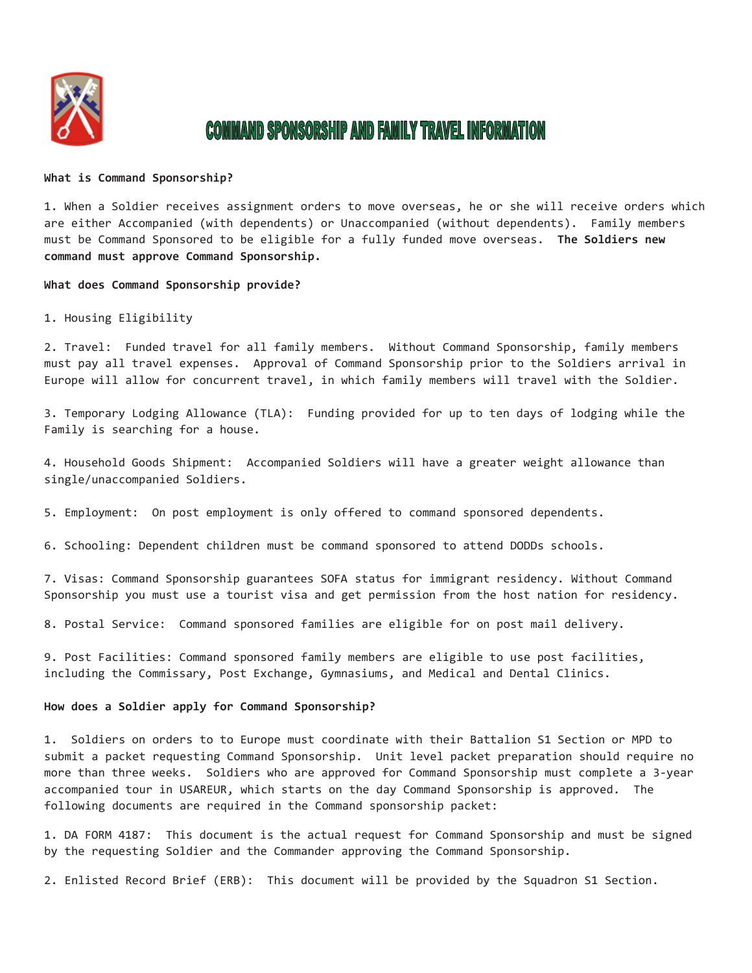

# **COMMAND SPONSORSHIP AND FAMILY TRAVEL INFORMATION**

#### **What is Command Sponsorship?**

1. When a Soldier receives assignment orders to move overseas, he or she will receive orders which are either Accompanied (with dependents) or Unaccompanied (without dependents). Family members must be Command Sponsored to be eligible for a fully funded move overseas. **The Soldiers new command must approve Command Sponsorship.**

**What does Command Sponsorship provide?** 

## 1. Housing Eligibility

2. Travel: Funded travel for all family members. Without Command Sponsorship, family members must pay all travel expenses. Approval of Command Sponsorship prior to the Soldiers arrival in Europe will allow for concurrent travel, in which family members will travel with the Soldier.

3. Temporary Lodging Allowance (TLA): Funding provided for up to ten days of lodging while the Family is searching for a house.

4. Household Goods Shipment: Accompanied Soldiers will have a greater weight allowance than single/unaccompanied Soldiers.

5. Employment: On post employment is only offered to command sponsored dependents.

6. Schooling: Dependent children must be command sponsored to attend DODDs schools.

7. Visas: Command Sponsorship guarantees SOFA status for immigrant residency. Without Command Sponsorship you must use a tourist visa and get permission from the host nation for residency.

8. Postal Service: Command sponsored families are eligible for on post mail delivery.

9. Post Facilities: Command sponsored family members are eligible to use post facilities, including the Commissary, Post Exchange, Gymnasiums, and Medical and Dental Clinics.

### **How does a Soldier apply for Command Sponsorship?**

1. Soldiers on orders to to Europe must coordinate with their Battalion S1 Section or MPD to submit a packet requesting Command Sponsorship. Unit level packet preparation should require no more than three weeks. Soldiers who are approved for Command Sponsorship must complete a 3-year accompanied tour in USAREUR, which starts on the day Command Sponsorship is approved. The following documents are required in the Command sponsorship packet:

1. DA FORM 4187: This document is the actual request for Command Sponsorship and must be signed by the requesting Soldier and the Commander approving the Command Sponsorship.

2. Enlisted Record Brief (ERB): This document will be provided by the Squadron S1 Section.